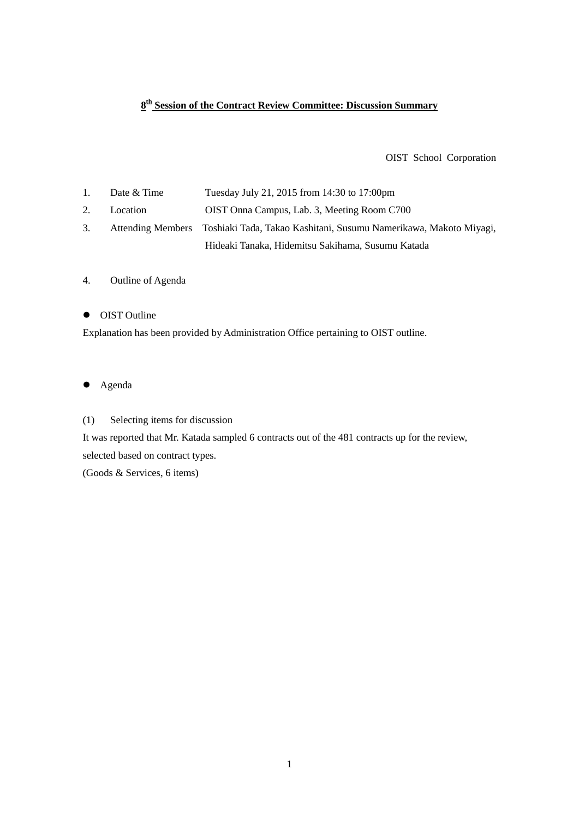## **8th Session of the Contract Review Committee: Discussion Summary**

OIST School Corporation

1. Date & Time Tuesday July 21, 2015 from 14:30 to 17:00pm 2. Location OIST Onna Campus, Lab. 3, Meeting Room C700 3. Attending Members Toshiaki Tada, Takao Kashitani, Susumu Namerikawa, Makoto Miyagi, Hideaki Tanaka, Hidemitsu Sakihama, Susumu Katada

### 4. Outline of Agenda

### • OIST Outline

Explanation has been provided by Administration Office pertaining to OIST outline.

- Agenda
- (1) Selecting items for discussion

It was reported that Mr. Katada sampled 6 contracts out of the 481 contracts up for the review, selected based on contract types.

(Goods & Services, 6 items)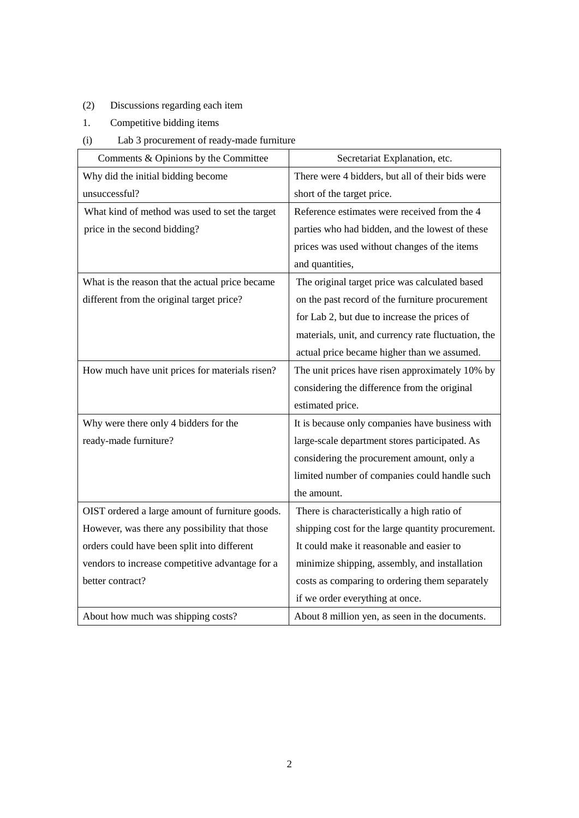# (2) Discussions regarding each item

- 1. Competitive bidding items
- (i) Lab 3 procurement of ready-made furniture

| Comments & Opinions by the Committee            | Secretariat Explanation, etc.                       |
|-------------------------------------------------|-----------------------------------------------------|
| Why did the initial bidding become              | There were 4 bidders, but all of their bids were    |
| unsuccessful?                                   | short of the target price.                          |
| What kind of method was used to set the target  | Reference estimates were received from the 4        |
| price in the second bidding?                    | parties who had bidden, and the lowest of these     |
|                                                 | prices was used without changes of the items        |
|                                                 | and quantities,                                     |
| What is the reason that the actual price became | The original target price was calculated based      |
| different from the original target price?       | on the past record of the furniture procurement     |
|                                                 | for Lab 2, but due to increase the prices of        |
|                                                 | materials, unit, and currency rate fluctuation, the |
|                                                 | actual price became higher than we assumed.         |
| How much have unit prices for materials risen?  | The unit prices have risen approximately 10% by     |
|                                                 | considering the difference from the original        |
|                                                 | estimated price.                                    |
| Why were there only 4 bidders for the           | It is because only companies have business with     |
| ready-made furniture?                           | large-scale department stores participated. As      |
|                                                 | considering the procurement amount, only a          |
|                                                 | limited number of companies could handle such       |
|                                                 | the amount.                                         |
| OIST ordered a large amount of furniture goods. | There is characteristically a high ratio of         |
| However, was there any possibility that those   | shipping cost for the large quantity procurement.   |
| orders could have been split into different     | It could make it reasonable and easier to           |
| vendors to increase competitive advantage for a | minimize shipping, assembly, and installation       |
| better contract?                                | costs as comparing to ordering them separately      |
|                                                 | if we order everything at once.                     |
| About how much was shipping costs?              | About 8 million yen, as seen in the documents.      |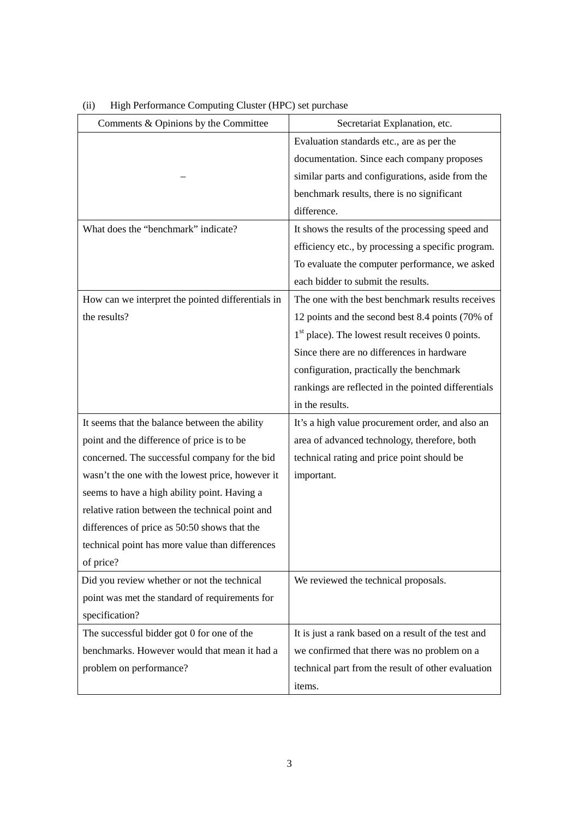| Comments & Opinions by the Committee              | Secretariat Explanation, etc.                       |
|---------------------------------------------------|-----------------------------------------------------|
|                                                   | Evaluation standards etc., are as per the           |
|                                                   | documentation. Since each company proposes          |
|                                                   | similar parts and configurations, aside from the    |
|                                                   | benchmark results, there is no significant          |
|                                                   | difference.                                         |
| What does the "benchmark" indicate?               | It shows the results of the processing speed and    |
|                                                   | efficiency etc., by processing a specific program.  |
|                                                   | To evaluate the computer performance, we asked      |
|                                                   | each bidder to submit the results.                  |
| How can we interpret the pointed differentials in | The one with the best benchmark results receives    |
| the results?                                      | 12 points and the second best 8.4 points (70% of    |
|                                                   | $1st$ place). The lowest result receives 0 points.  |
|                                                   | Since there are no differences in hardware          |
|                                                   | configuration, practically the benchmark            |
|                                                   | rankings are reflected in the pointed differentials |
|                                                   | in the results.                                     |
| It seems that the balance between the ability     | It's a high value procurement order, and also an    |
| point and the difference of price is to be        | area of advanced technology, therefore, both        |
| concerned. The successful company for the bid     | technical rating and price point should be          |
| wasn't the one with the lowest price, however it  | important.                                          |
| seems to have a high ability point. Having a      |                                                     |
| relative ration between the technical point and   |                                                     |
| differences of price as 50:50 shows that the      |                                                     |
| technical point has more value than differences   |                                                     |
| of price?                                         |                                                     |
| Did you review whether or not the technical       | We reviewed the technical proposals.                |
| point was met the standard of requirements for    |                                                     |
| specification?                                    |                                                     |
| The successful bidder got 0 for one of the        | It is just a rank based on a result of the test and |
| benchmarks. However would that mean it had a      | we confirmed that there was no problem on a         |
| problem on performance?                           | technical part from the result of other evaluation  |
|                                                   | items.                                              |

(ii) High Performance Computing Cluster (HPC) set purchase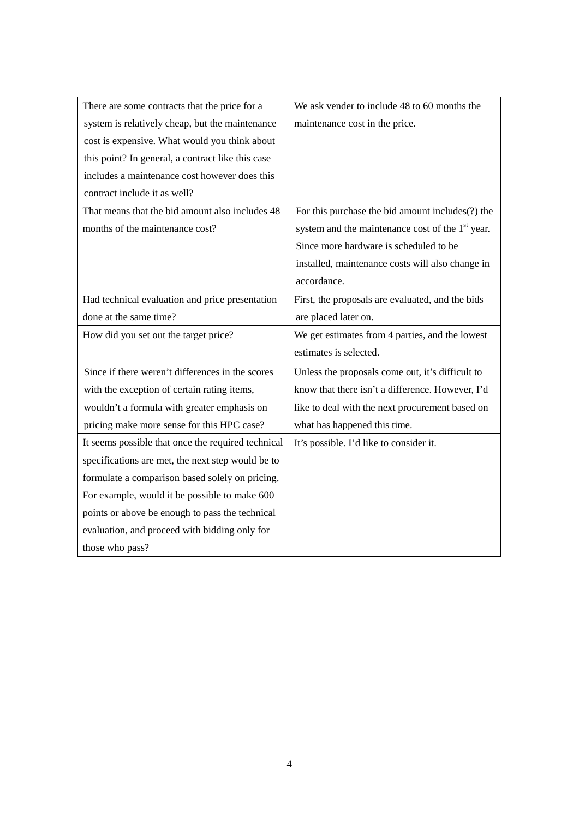| There are some contracts that the price for a      | We ask vender to include 48 to 60 months the                 |
|----------------------------------------------------|--------------------------------------------------------------|
| system is relatively cheap, but the maintenance    | maintenance cost in the price.                               |
| cost is expensive. What would you think about      |                                                              |
| this point? In general, a contract like this case  |                                                              |
| includes a maintenance cost however does this      |                                                              |
| contract include it as well?                       |                                                              |
| That means that the bid amount also includes 48    | For this purchase the bid amount includes(?) the             |
| months of the maintenance cost?                    | system and the maintenance cost of the 1 <sup>st</sup> year. |
|                                                    | Since more hardware is scheduled to be                       |
|                                                    | installed, maintenance costs will also change in             |
|                                                    | accordance.                                                  |
| Had technical evaluation and price presentation    | First, the proposals are evaluated, and the bids             |
| done at the same time?                             | are placed later on.                                         |
|                                                    |                                                              |
| How did you set out the target price?              | We get estimates from 4 parties, and the lowest              |
|                                                    | estimates is selected.                                       |
| Since if there weren't differences in the scores   | Unless the proposals come out, it's difficult to             |
| with the exception of certain rating items,        | know that there isn't a difference. However, I'd             |
| wouldn't a formula with greater emphasis on        | like to deal with the next procurement based on              |
| pricing make more sense for this HPC case?         | what has happened this time.                                 |
| It seems possible that once the required technical | It's possible. I'd like to consider it.                      |
| specifications are met, the next step would be to  |                                                              |
| formulate a comparison based solely on pricing.    |                                                              |
| For example, would it be possible to make 600      |                                                              |
| points or above be enough to pass the technical    |                                                              |
| evaluation, and proceed with bidding only for      |                                                              |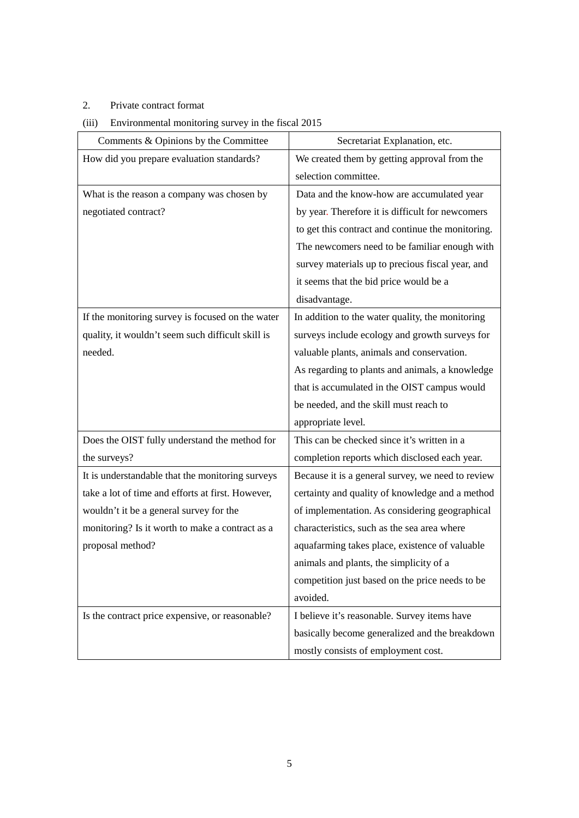## 2. Private contract format

## (iii) Environmental monitoring survey in the fiscal 2015

| Comments & Opinions by the Committee              | Secretariat Explanation, etc.                     |
|---------------------------------------------------|---------------------------------------------------|
| How did you prepare evaluation standards?         | We created them by getting approval from the      |
|                                                   | selection committee.                              |
| What is the reason a company was chosen by        | Data and the know-how are accumulated year        |
| negotiated contract?                              | by year. Therefore it is difficult for newcomers  |
|                                                   | to get this contract and continue the monitoring. |
|                                                   | The newcomers need to be familiar enough with     |
|                                                   | survey materials up to precious fiscal year, and  |
|                                                   | it seems that the bid price would be a            |
|                                                   | disadvantage.                                     |
| If the monitoring survey is focused on the water  | In addition to the water quality, the monitoring  |
| quality, it wouldn't seem such difficult skill is | surveys include ecology and growth surveys for    |
| needed.                                           | valuable plants, animals and conservation.        |
|                                                   | As regarding to plants and animals, a knowledge   |
|                                                   | that is accumulated in the OIST campus would      |
|                                                   | be needed, and the skill must reach to            |
|                                                   | appropriate level.                                |
| Does the OIST fully understand the method for     | This can be checked since it's written in a       |
| the surveys?                                      | completion reports which disclosed each year.     |
| It is understandable that the monitoring surveys  | Because it is a general survey, we need to review |
| take a lot of time and efforts at first. However, | certainty and quality of knowledge and a method   |
| wouldn't it be a general survey for the           | of implementation. As considering geographical    |
| monitoring? Is it worth to make a contract as a   | characteristics, such as the sea area where       |
| proposal method?                                  | aquafarming takes place, existence of valuable    |
|                                                   | animals and plants, the simplicity of a           |
|                                                   | competition just based on the price needs to be   |
|                                                   | avoided.                                          |
| Is the contract price expensive, or reasonable?   | I believe it's reasonable. Survey items have      |
|                                                   | basically become generalized and the breakdown    |
|                                                   | mostly consists of employment cost.               |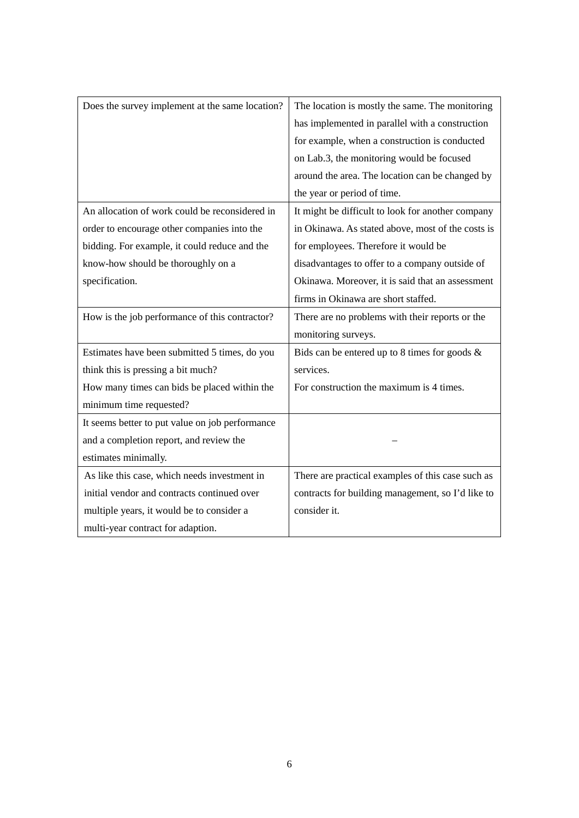| Does the survey implement at the same location? | The location is mostly the same. The monitoring   |
|-------------------------------------------------|---------------------------------------------------|
|                                                 | has implemented in parallel with a construction   |
|                                                 | for example, when a construction is conducted     |
|                                                 | on Lab.3, the monitoring would be focused         |
|                                                 | around the area. The location can be changed by   |
|                                                 | the year or period of time.                       |
| An allocation of work could be reconsidered in  | It might be difficult to look for another company |
| order to encourage other companies into the     | in Okinawa. As stated above, most of the costs is |
| bidding. For example, it could reduce and the   | for employees. Therefore it would be              |
| know-how should be thoroughly on a              | disadvantages to offer to a company outside of    |
| specification.                                  | Okinawa. Moreover, it is said that an assessment  |
|                                                 | firms in Okinawa are short staffed.               |
| How is the job performance of this contractor?  | There are no problems with their reports or the   |
|                                                 | monitoring surveys.                               |
| Estimates have been submitted 5 times, do you   | Bids can be entered up to 8 times for goods &     |
| think this is pressing a bit much?              | services.                                         |
| How many times can bids be placed within the    | For construction the maximum is 4 times.          |
| minimum time requested?                         |                                                   |
| It seems better to put value on job performance |                                                   |
| and a completion report, and review the         |                                                   |
| estimates minimally.                            |                                                   |
| As like this case, which needs investment in    | There are practical examples of this case such as |
| initial vendor and contracts continued over     | contracts for building management, so I'd like to |
| multiple years, it would be to consider a       | consider it.                                      |
| multi-year contract for adaption.               |                                                   |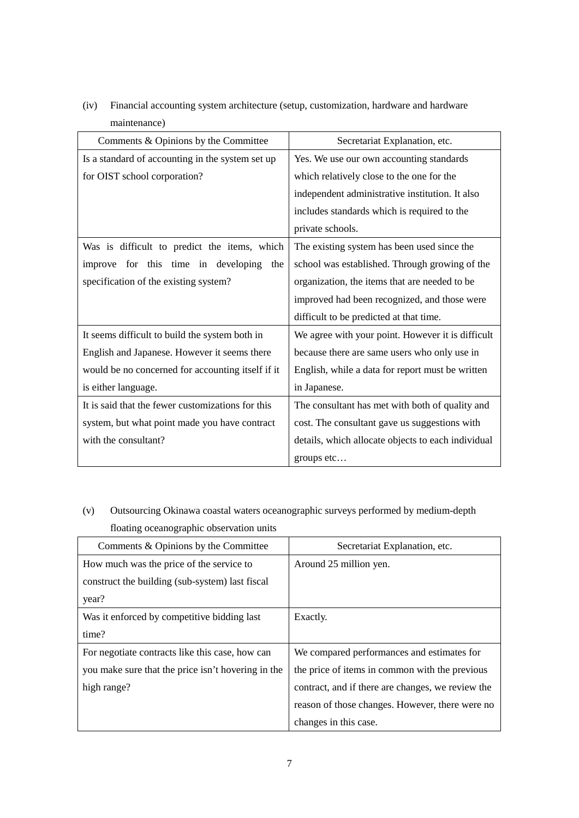| Comments & Opinions by the Committee              | Secretariat Explanation, etc.                      |
|---------------------------------------------------|----------------------------------------------------|
| Is a standard of accounting in the system set up  | Yes. We use our own accounting standards           |
| for OIST school corporation?                      | which relatively close to the one for the          |
|                                                   | independent administrative institution. It also    |
|                                                   | includes standards which is required to the        |
|                                                   | private schools.                                   |
| Was is difficult to predict the items, which      | The existing system has been used since the        |
| improve for this time in developing<br>the        | school was established. Through growing of the     |
| specification of the existing system?             | organization, the items that are needed to be      |
|                                                   | improved had been recognized, and those were       |
|                                                   | difficult to be predicted at that time.            |
| It seems difficult to build the system both in    | We agree with your point. However it is difficult  |
| English and Japanese. However it seems there      | because there are same users who only use in       |
| would be no concerned for accounting itself if it | English, while a data for report must be written   |
| is either language.                               | in Japanese.                                       |
| It is said that the fewer customizations for this | The consultant has met with both of quality and    |
| system, but what point made you have contract     | cost. The consultant gave us suggestions with      |
| with the consultant?                              | details, which allocate objects to each individual |
|                                                   | groups etc                                         |

(iv) Financial accounting system architecture (setup, customization, hardware and hardware maintenance)

(v) Outsourcing Okinawa coastal waters oceanographic surveys performed by medium-depth floating oceanographic observation units

| Comments & Opinions by the Committee               | Secretariat Explanation, etc.                     |
|----------------------------------------------------|---------------------------------------------------|
| How much was the price of the service to           | Around 25 million yen.                            |
| construct the building (sub-system) last fiscal    |                                                   |
| year?                                              |                                                   |
| Was it enforced by competitive bidding last        | Exactly.                                          |
| time?                                              |                                                   |
| For negotiate contracts like this case, how can    | We compared performances and estimates for        |
| you make sure that the price isn't hovering in the | the price of items in common with the previous    |
| high range?                                        | contract, and if there are changes, we review the |
|                                                    | reason of those changes. However, there were no   |
|                                                    | changes in this case.                             |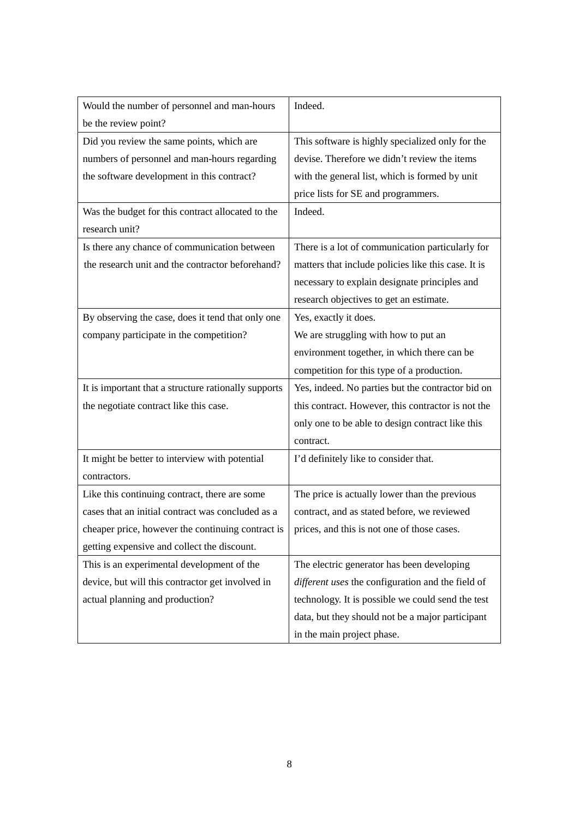| Would the number of personnel and man-hours                                                    | Indeed.                                             |
|------------------------------------------------------------------------------------------------|-----------------------------------------------------|
| be the review point?                                                                           |                                                     |
| Did you review the same points, which are                                                      | This software is highly specialized only for the    |
| numbers of personnel and man-hours regarding                                                   | devise. Therefore we didn't review the items        |
| the software development in this contract?                                                     | with the general list, which is formed by unit      |
|                                                                                                | price lists for SE and programmers.                 |
| Was the budget for this contract allocated to the                                              | Indeed.                                             |
| research unit?                                                                                 |                                                     |
| Is there any chance of communication between                                                   | There is a lot of communication particularly for    |
| the research unit and the contractor beforehand?                                               | matters that include policies like this case. It is |
|                                                                                                | necessary to explain designate principles and       |
|                                                                                                | research objectives to get an estimate.             |
| By observing the case, does it tend that only one                                              | Yes, exactly it does.                               |
| company participate in the competition?                                                        | We are struggling with how to put an                |
|                                                                                                | environment together, in which there can be         |
|                                                                                                | competition for this type of a production.          |
| It is important that a structure rationally supports                                           | Yes, indeed. No parties but the contractor bid on   |
| the negotiate contract like this case.                                                         | this contract. However, this contractor is not the  |
|                                                                                                | only one to be able to design contract like this    |
|                                                                                                | contract.                                           |
| It might be better to interview with potential                                                 | I'd definitely like to consider that.               |
| contractors.                                                                                   |                                                     |
| Like this continuing contract, there are some                                                  | The price is actually lower than the previous       |
| cases that an initial contract was concluded as a                                              | contract, and as stated before, we reviewed         |
| chaper price, however the continuing contract is   prices, and this is not one of those cases. |                                                     |
| getting expensive and collect the discount.                                                    |                                                     |
| This is an experimental development of the                                                     | The electric generator has been developing          |
| device, but will this contractor get involved in                                               | different uses the configuration and the field of   |
| actual planning and production?                                                                | technology. It is possible we could send the test   |
|                                                                                                | data, but they should not be a major participant    |
|                                                                                                | in the main project phase.                          |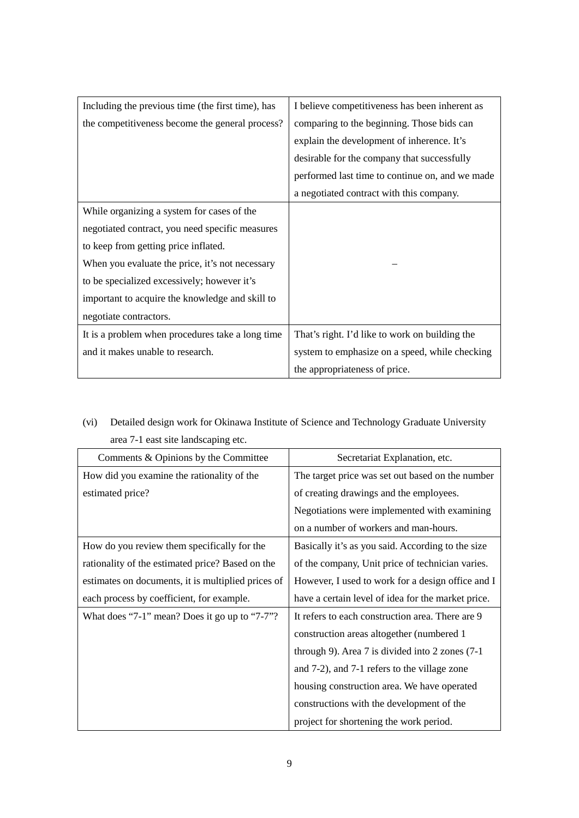| Including the previous time (the first time), has | I believe competitiveness has been inherent as  |
|---------------------------------------------------|-------------------------------------------------|
| the competitiveness become the general process?   | comparing to the beginning. Those bids can      |
|                                                   | explain the development of inherence. It's      |
|                                                   | desirable for the company that successfully     |
|                                                   | performed last time to continue on, and we made |
|                                                   | a negotiated contract with this company.        |
| While organizing a system for cases of the        |                                                 |
| negotiated contract, you need specific measures   |                                                 |
| to keep from getting price inflated.              |                                                 |
| When you evaluate the price, it's not necessary   |                                                 |
| to be specialized excessively; however it's       |                                                 |
| important to acquire the knowledge and skill to   |                                                 |
| negotiate contractors.                            |                                                 |
| It is a problem when procedures take a long time  | That's right. I'd like to work on building the  |
| and it makes unable to research.                  | system to emphasize on a speed, while checking  |
|                                                   | the appropriateness of price.                   |

(vi) Detailed design work for Okinawa Institute of Science and Technology Graduate University area 7-1 east site landscaping etc.

| Comments & Opinions by the Committee               | Secretariat Explanation, etc.                      |
|----------------------------------------------------|----------------------------------------------------|
| How did you examine the rationality of the         | The target price was set out based on the number   |
| estimated price?                                   | of creating drawings and the employees.            |
|                                                    | Negotiations were implemented with examining       |
|                                                    | on a number of workers and man-hours.              |
| How do you review them specifically for the        | Basically it's as you said. According to the size  |
| rationality of the estimated price? Based on the   | of the company, Unit price of technician varies.   |
| estimates on documents, it is multiplied prices of | However, I used to work for a design office and I  |
| each process by coefficient, for example.          | have a certain level of idea for the market price. |
| What does "7-1" mean? Does it go up to "7-7"?      | It refers to each construction area. There are 9   |
|                                                    | construction areas altogether (numbered 1          |
|                                                    | through 9). Area 7 is divided into 2 zones $(7-1)$ |
|                                                    | and 7-2), and 7-1 refers to the village zone       |
|                                                    | housing construction area. We have operated        |
|                                                    | constructions with the development of the          |
|                                                    | project for shortening the work period.            |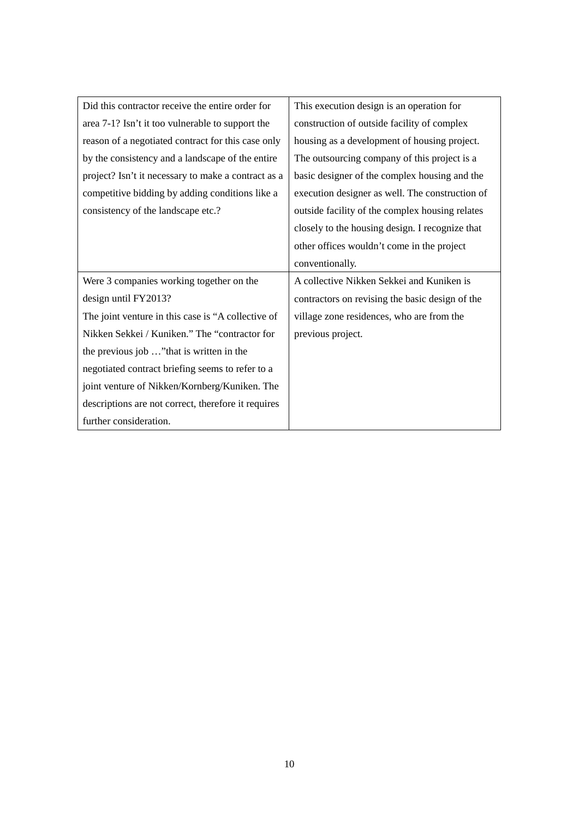| Did this contractor receive the entire order for    | This execution design is an operation for       |
|-----------------------------------------------------|-------------------------------------------------|
| area 7-1? Isn't it too vulnerable to support the    | construction of outside facility of complex     |
| reason of a negotiated contract for this case only  | housing as a development of housing project.    |
| by the consistency and a landscape of the entire    | The outsourcing company of this project is a    |
| project? Isn't it necessary to make a contract as a | basic designer of the complex housing and the   |
| competitive bidding by adding conditions like a     | execution designer as well. The construction of |
| consistency of the landscape etc.?                  | outside facility of the complex housing relates |
|                                                     | closely to the housing design. I recognize that |
|                                                     | other offices wouldn't come in the project      |
|                                                     | conventionally.                                 |
| Were 3 companies working together on the            | A collective Nikken Sekkei and Kuniken is       |
| design until FY2013?                                | contractors on revising the basic design of the |
| The joint venture in this case is "A collective of  | village zone residences, who are from the       |
| Nikken Sekkei / Kuniken." The "contractor for       | previous project.                               |
| the previous job " that is written in the           |                                                 |
| negotiated contract briefing seems to refer to a    |                                                 |
| joint venture of Nikken/Kornberg/Kuniken. The       |                                                 |
| descriptions are not correct, therefore it requires |                                                 |
| further consideration.                              |                                                 |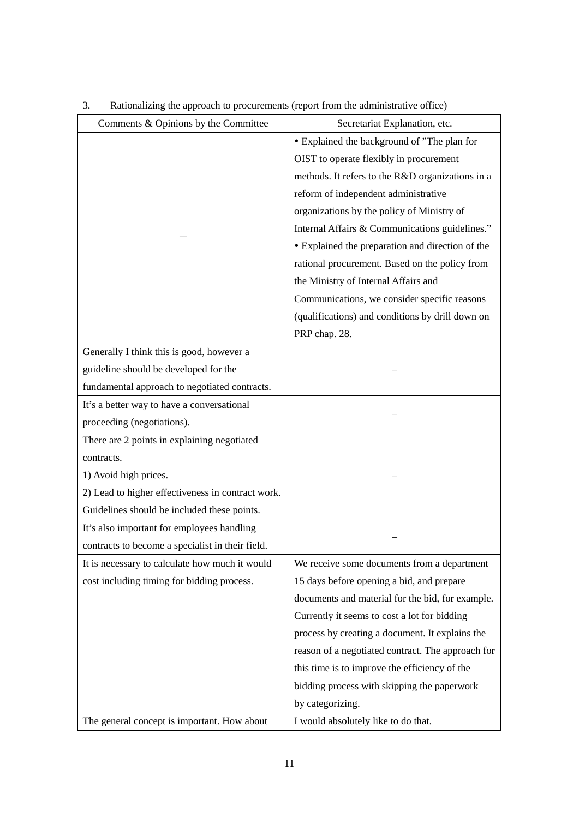| Comments & Opinions by the Committee              | Secretariat Explanation, etc.                     |
|---------------------------------------------------|---------------------------------------------------|
|                                                   | • Explained the background of "The plan for       |
|                                                   | OIST to operate flexibly in procurement           |
|                                                   | methods. It refers to the R&D organizations in a  |
|                                                   | reform of independent administrative              |
|                                                   | organizations by the policy of Ministry of        |
|                                                   | Internal Affairs & Communications guidelines."    |
|                                                   | • Explained the preparation and direction of the  |
|                                                   | rational procurement. Based on the policy from    |
|                                                   | the Ministry of Internal Affairs and              |
|                                                   | Communications, we consider specific reasons      |
|                                                   | (qualifications) and conditions by drill down on  |
|                                                   | PRP chap. 28.                                     |
| Generally I think this is good, however a         |                                                   |
| guideline should be developed for the             |                                                   |
| fundamental approach to negotiated contracts.     |                                                   |
| It's a better way to have a conversational        |                                                   |
| proceeding (negotiations).                        |                                                   |
| There are 2 points in explaining negotiated       |                                                   |
| contracts.                                        |                                                   |
| 1) Avoid high prices.                             |                                                   |
| 2) Lead to higher effectiveness in contract work. |                                                   |
| Guidelines should be included these points.       |                                                   |
| It's also important for employees handling        |                                                   |
| contracts to become a specialist in their field.  |                                                   |
| It is necessary to calculate how much it would    | We receive some documents from a department       |
| cost including timing for bidding process.        | 15 days before opening a bid, and prepare         |
|                                                   | documents and material for the bid, for example.  |
|                                                   | Currently it seems to cost a lot for bidding      |
|                                                   | process by creating a document. It explains the   |
|                                                   | reason of a negotiated contract. The approach for |
|                                                   | this time is to improve the efficiency of the     |
|                                                   | bidding process with skipping the paperwork       |
|                                                   | by categorizing.                                  |
| The general concept is important. How about       | I would absolutely like to do that.               |

# 3. Rationalizing the approach to procurements (report from the administrative office)